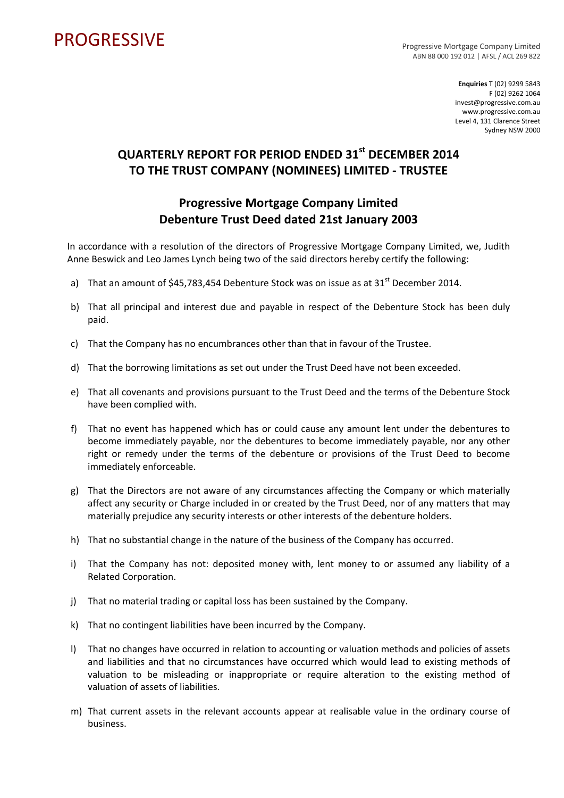## PROGRESSIVE PROGRESSIVE

ABN 88 000 192 012 | AFSL / ACL 269 822

**Enquiries** T (02) 9299 5843 F (02) 9262 1064 invest@progressive.com.au www.progressive.com.au Level 4, 131 Clarence Street Sydney NSW 2000

## **QUARTERLY REPORT FOR PERIOD ENDED 31st DECEMBER 2014 TO THE TRUST COMPANY (NOMINEES) LIMITED ‐ TRUSTEE**

## **Progressive Mortgage Company Limited Debenture Trust Deed dated 21st January 2003**

In accordance with a resolution of the directors of Progressive Mortgage Company Limited, we, Judith Anne Beswick and Leo James Lynch being two of the said directors hereby certify the following:

- a) That an amount of \$45,783,454 Debenture Stock was on issue as at  $31<sup>st</sup>$  December 2014.
- b) That all principal and interest due and payable in respect of the Debenture Stock has been duly paid.
- c) That the Company has no encumbrances other than that in favour of the Trustee.
- d) That the borrowing limitations as set out under the Trust Deed have not been exceeded.
- e) That all covenants and provisions pursuant to the Trust Deed and the terms of the Debenture Stock have been complied with.
- f) That no event has happened which has or could cause any amount lent under the debentures to become immediately payable, nor the debentures to become immediately payable, nor any other right or remedy under the terms of the debenture or provisions of the Trust Deed to become immediately enforceable.
- g) That the Directors are not aware of any circumstances affecting the Company or which materially affect any security or Charge included in or created by the Trust Deed, nor of any matters that may materially prejudice any security interests or other interests of the debenture holders.
- h) That no substantial change in the nature of the business of the Company has occurred.
- i) That the Company has not: deposited money with, lent money to or assumed any liability of a Related Corporation.
- j) That no material trading or capital loss has been sustained by the Company.
- k) That no contingent liabilities have been incurred by the Company.
- l) That no changes have occurred in relation to accounting or valuation methods and policies of assets and liabilities and that no circumstances have occurred which would lead to existing methods of valuation to be misleading or inappropriate or require alteration to the existing method of valuation of assets of liabilities.
- m) That current assets in the relevant accounts appear at realisable value in the ordinary course of business.